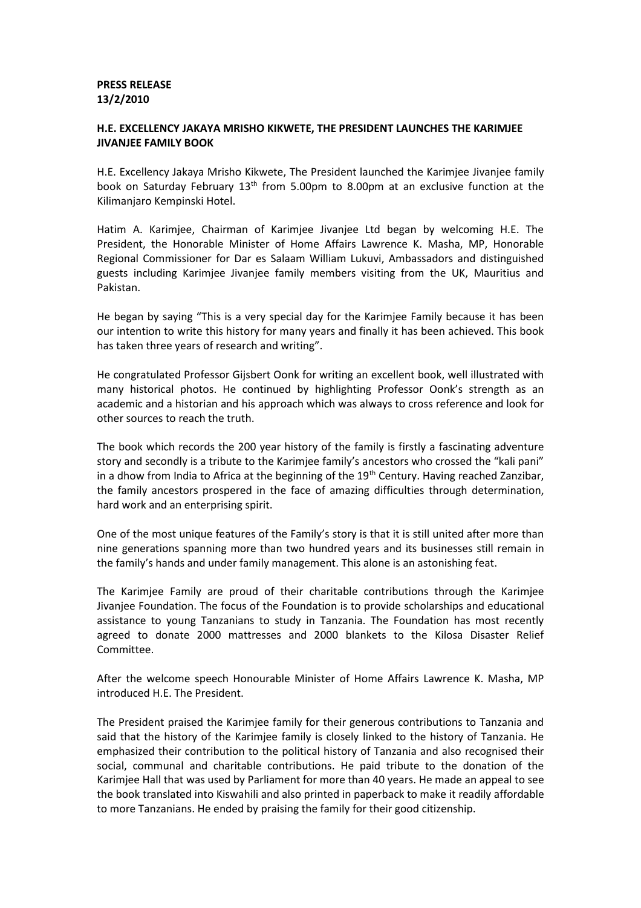## **PRESS RELEASE 13/2/2010**

## **H.E. EXCELLENCY JAKAYA MRISHO KIKWETE, THE PRESIDENT LAUNCHES THE KARIMJEE JIVANJEE FAMILY BOOK**

H.E. Excellency Jakaya Mrisho Kikwete, The President launched the Karimjee Jivanjee family book on Saturday February 13<sup>th</sup> from 5.00pm to 8.00pm at an exclusive function at the Kilimanjaro Kempinski Hotel.

Hatim A. Karimjee, Chairman of Karimjee Jivanjee Ltd began by welcoming H.E. The President, the Honorable Minister of Home Affairs Lawrence K. Masha, MP, Honorable Regional Commissioner for Dar es Salaam William Lukuvi, Ambassadors and distinguished guests including Karimjee Jivanjee family members visiting from the UK, Mauritius and Pakistan.

He began by saying "This is a very special day for the Karimjee Family because it has been our intention to write this history for many years and finally it has been achieved. This book has taken three years of research and writing".

He congratulated Professor Gijsbert Oonk for writing an excellent book, well illustrated with many historical photos. He continued by highlighting Professor Oonk's strength as an academic and a historian and his approach which was always to cross reference and look for other sources to reach the truth.

The book which records the 200 year history of the family is firstly a fascinating adventure story and secondly is a tribute to the Karimjee family's ancestors who crossed the "kali pani" in a dhow from India to Africa at the beginning of the 19<sup>th</sup> Century. Having reached Zanzibar, the family ancestors prospered in the face of amazing difficulties through determination, hard work and an enterprising spirit.

One of the most unique features of the Family's story is that it is still united after more than nine generations spanning more than two hundred years and its businesses still remain in the family's hands and under family management. This alone is an astonishing feat.

The Karimjee Family are proud of their charitable contributions through the Karimjee Jivanjee Foundation. The focus of the Foundation is to provide scholarships and educational assistance to young Tanzanians to study in Tanzania. The Foundation has most recently agreed to donate 2000 mattresses and 2000 blankets to the Kilosa Disaster Relief Committee.

After the welcome speech Honourable Minister of Home Affairs Lawrence K. Masha, MP introduced H.E. The President.

The President praised the Karimjee family for their generous contributions to Tanzania and said that the history of the Karimjee family is closely linked to the history of Tanzania. He emphasized their contribution to the political history of Tanzania and also recognised their social, communal and charitable contributions. He paid tribute to the donation of the Karimjee Hall that was used by Parliament for more than 40 years. He made an appeal to see the book translated into Kiswahili and also printed in paperback to make it readily affordable to more Tanzanians. He ended by praising the family for their good citizenship.